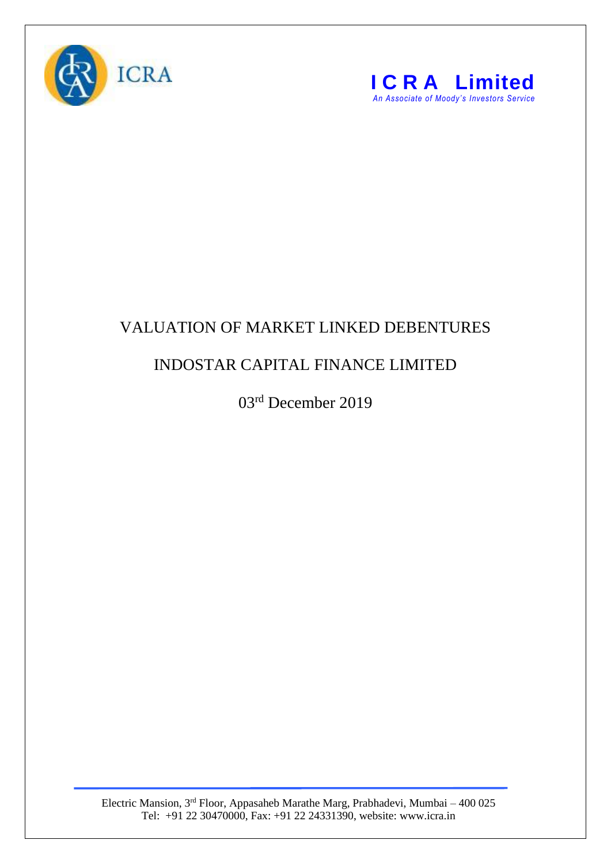



## VALUATION OF MARKET LINKED DEBENTURES

## INDOSTAR CAPITAL FINANCE LIMITED

03rd December 2019

Electric Mansion, 3<sup>rd</sup> Floor, Appasaheb Marathe Marg, Prabhadevi, Mumbai – 400 025 Tel: +91 22 30470000, Fax: +91 22 24331390, website: www.icra.in